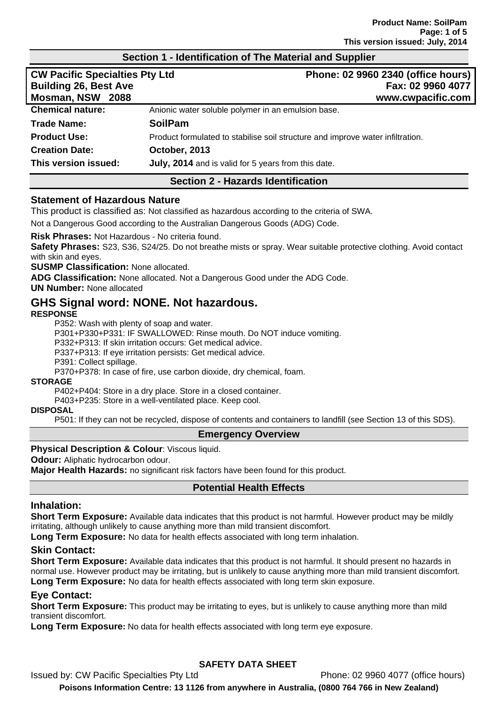#### **Section 1 - Identification of The Material and Supplier**

| <b>CW Pacific Specialties Pty Ltd</b><br><b>Building 26, Best Ave</b><br>Mosman, NSW 2088 | Phone: 02 9960 2340 (office hours)<br>Fax: 02 9960 4077<br>www.cwpacific.com   |
|-------------------------------------------------------------------------------------------|--------------------------------------------------------------------------------|
| <b>Chemical nature:</b>                                                                   | Anionic water soluble polymer in an emulsion base.                             |
| <b>Trade Name:</b>                                                                        | <b>SoilPam</b>                                                                 |
| <b>Product Use:</b>                                                                       | Product formulated to stabilise soil structure and improve water infiltration. |
| <b>Creation Date:</b>                                                                     | October, 2013                                                                  |
| This version issued:                                                                      | July, 2014 and is valid for 5 years from this date.                            |

### **Section 2 - Hazards Identification**

#### **Statement of Hazardous Nature**

This product is classified as: Not classified as hazardous according to the criteria of SWA.

Not a Dangerous Good according to the Australian Dangerous Goods (ADG) Code.

**Risk Phrases:** Not Hazardous - No criteria found.

**Safety Phrases:** S23, S36, S24/25. Do not breathe mists or spray. Wear suitable protective clothing. Avoid contact with skin and eyes.

**SUSMP Classification:** None allocated.

**ADG Classification:** None allocated. Not a Dangerous Good under the ADG Code.

**UN Number:** None allocated

# **GHS Signal word: NONE. Not hazardous.**

#### **RESPONSE**

P352: Wash with plenty of soap and water.

P301+P330+P331: IF SWALLOWED: Rinse mouth. Do NOT induce vomiting.

P332+P313: If skin irritation occurs: Get medical advice.

P337+P313: If eye irritation persists: Get medical advice.

P391: Collect spillage.

P370+P378: In case of fire, use carbon dioxide, dry chemical, foam.

#### **STORAGE**

P402+P404: Store in a dry place. Store in a closed container.

P403+P235: Store in a well-ventilated place. Keep cool.

## **DISPOSAL**

P501: If they can not be recycled, dispose of contents and containers to landfill (see Section 13 of this SDS).

### **Emergency Overview**

#### **Physical Description & Colour: Viscous liquid.**

**Odour:** Aliphatic hydrocarbon odour.

**Major Health Hazards:** no significant risk factors have been found for this product.

### **Potential Health Effects**

#### **Inhalation:**

**Short Term Exposure:** Available data indicates that this product is not harmful. However product may be mildly irritating, although unlikely to cause anything more than mild transient discomfort.

**Long Term Exposure:** No data for health effects associated with long term inhalation.

### **Skin Contact:**

**Short Term Exposure:** Available data indicates that this product is not harmful. It should present no hazards in normal use. However product may be irritating, but is unlikely to cause anything more than mild transient discomfort. **Long Term Exposure:** No data for health effects associated with long term skin exposure.

### **Eye Contact:**

**Short Term Exposure:** This product may be irritating to eyes, but is unlikely to cause anything more than mild transient discomfort.

**Long Term Exposure:** No data for health effects associated with long term eye exposure.

# **SAFETY DATA SHEET**

Issued by: CW Pacific Specialties Pty Ltd Phone: 02 9960 4077 (office hours) **Poisons Information Centre: 13 1126 from anywhere in Australia, (0800 764 766 in New Zealand)**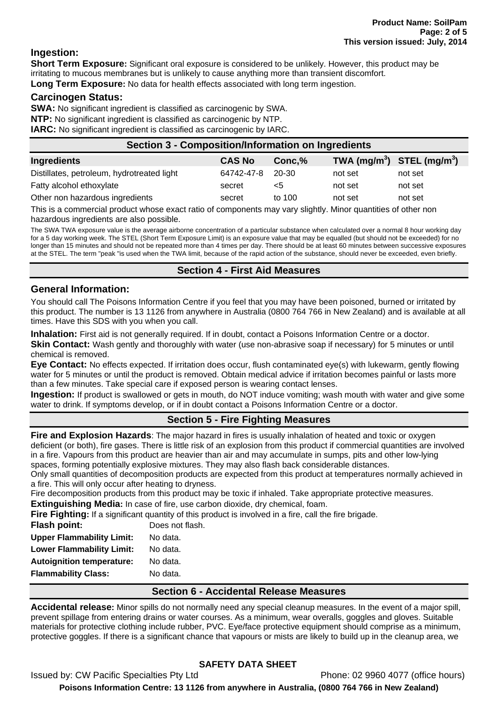### **Ingestion:**

**Short Term Exposure:** Significant oral exposure is considered to be unlikely. However, this product may be irritating to mucous membranes but is unlikely to cause anything more than transient discomfort. **Long Term Exposure:** No data for health effects associated with long term ingestion.

### **Carcinogen Status:**

**SWA:** No significant ingredient is classified as carcinogenic by SWA.

**NTP:** No significant ingredient is classified as carcinogenic by NTP.

**IARC:** No significant ingredient is classified as carcinogenic by IARC.

| <b>Section 3 - Composition/Information on Ingredients</b> |               |        |         |                                                    |  |
|-----------------------------------------------------------|---------------|--------|---------|----------------------------------------------------|--|
| Ingredients                                               | <b>CAS No</b> | Conc,% |         | TWA (mg/m <sup>3</sup> ) STEL (mg/m <sup>3</sup> ) |  |
| Distillates, petroleum, hydrotreated light                | 64742-47-8    | 20-30  | not set | not set                                            |  |
| Fatty alcohol ethoxylate                                  | secret        | <5     | not set | not set                                            |  |
| Other non hazardous ingredients                           | secret        | to 100 | not set | not set                                            |  |
|                                                           |               |        |         |                                                    |  |

This is a commercial product whose exact ratio of components may vary slightly. Minor quantities of other non hazardous ingredients are also possible.

The SWA TWA exposure value is the average airborne concentration of a particular substance when calculated over a normal 8 hour working day for a 5 day working week. The STEL (Short Term Exposure Limit) is an exposure value that may be equalled (but should not be exceeded) for no longer than 15 minutes and should not be repeated more than 4 times per day. There should be at least 60 minutes between successive exposures at the STEL. The term "peak "is used when the TWA limit, because of the rapid action of the substance, should never be exceeded, even briefly.

### **Section 4 - First Aid Measures**

### **General Information:**

You should call The Poisons Information Centre if you feel that you may have been poisoned, burned or irritated by this product. The number is 13 1126 from anywhere in Australia (0800 764 766 in New Zealand) and is available at all times. Have this SDS with you when you call.

**Inhalation:** First aid is not generally required. If in doubt, contact a Poisons Information Centre or a doctor.

**Skin Contact:** Wash gently and thoroughly with water (use non-abrasive soap if necessary) for 5 minutes or until chemical is removed.

**Eye Contact:** No effects expected. If irritation does occur, flush contaminated eye(s) with lukewarm, gently flowing water for 5 minutes or until the product is removed. Obtain medical advice if irritation becomes painful or lasts more than a few minutes. Take special care if exposed person is wearing contact lenses.

**Ingestion:** If product is swallowed or gets in mouth, do NOT induce vomiting; wash mouth with water and give some water to drink. If symptoms develop, or if in doubt contact a Poisons Information Centre or a doctor.

## **Section 5 - Fire Fighting Measures**

**Fire and Explosion Hazards**: The major hazard in fires is usually inhalation of heated and toxic or oxygen deficient (or both), fire gases. There is little risk of an explosion from this product if commercial quantities are involved in a fire. Vapours from this product are heavier than air and may accumulate in sumps, pits and other low-lying spaces, forming potentially explosive mixtures. They may also flash back considerable distances.

Only small quantities of decomposition products are expected from this product at temperatures normally achieved in a fire. This will only occur after heating to dryness.

Fire decomposition products from this product may be toxic if inhaled. Take appropriate protective measures.

**Extinguishing Media:** In case of fire, use carbon dioxide, dry chemical, foam.

**Fire Fighting:** If a significant quantity of this product is involved in a fire, call the fire brigade.

| <b>Flash point:</b>              | Does not flash. |
|----------------------------------|-----------------|
| <b>Upper Flammability Limit:</b> | No data.        |
| <b>Lower Flammability Limit:</b> | No data.        |
| <b>Autoignition temperature:</b> | No data.        |
| <b>Flammability Class:</b>       | No data.        |
|                                  |                 |

### **Section 6 - Accidental Release Measures**

**Accidental release:** Minor spills do not normally need any special cleanup measures. In the event of a major spill, prevent spillage from entering drains or water courses. As a minimum, wear overalls, goggles and gloves. Suitable materials for protective clothing include rubber, PVC. Eye/face protective equipment should comprise as a minimum, protective goggles. If there is a significant chance that vapours or mists are likely to build up in the cleanup area, we

# **SAFETY DATA SHEET**

Issued by: CW Pacific Specialties Pty Ltd Phone: 02 9960 4077 (office hours) **Poisons Information Centre: 13 1126 from anywhere in Australia, (0800 764 766 in New Zealand)**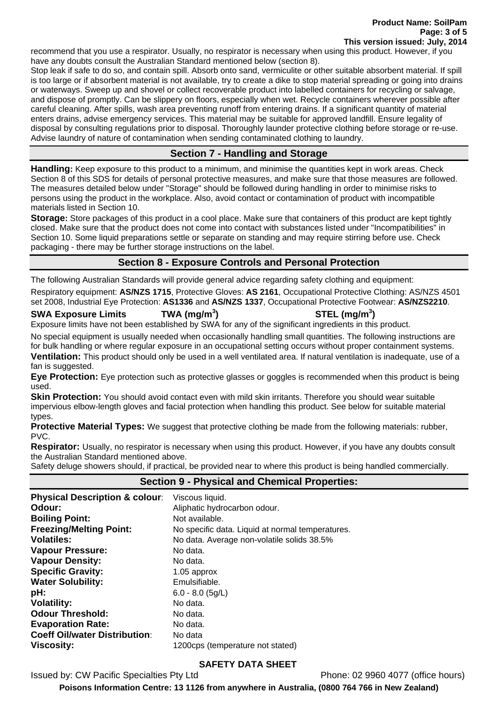**Product Name: SoilPam Page: 3 of 5 This version issued: July, 2014**

recommend that you use a respirator. Usually, no respirator is necessary when using this product. However, if you have any doubts consult the Australian Standard mentioned below (section 8).

Stop leak if safe to do so, and contain spill. Absorb onto sand, vermiculite or other suitable absorbent material. If spill is too large or if absorbent material is not available, try to create a dike to stop material spreading or going into drains or waterways. Sweep up and shovel or collect recoverable product into labelled containers for recycling or salvage, and dispose of promptly. Can be slippery on floors, especially when wet. Recycle containers wherever possible after careful cleaning. After spills, wash area preventing runoff from entering drains. If a significant quantity of material enters drains, advise emergency services. This material may be suitable for approved landfill. Ensure legality of disposal by consulting regulations prior to disposal. Thoroughly launder protective clothing before storage or re-use. Advise laundry of nature of contamination when sending contaminated clothing to laundry.

### **Section 7 - Handling and Storage**

**Handling:** Keep exposure to this product to a minimum, and minimise the quantities kept in work areas. Check Section 8 of this SDS for details of personal protective measures, and make sure that those measures are followed. The measures detailed below under "Storage" should be followed during handling in order to minimise risks to persons using the product in the workplace. Also, avoid contact or contamination of product with incompatible materials listed in Section 10.

**Storage:** Store packages of this product in a cool place. Make sure that containers of this product are kept tightly closed. Make sure that the product does not come into contact with substances listed under "Incompatibilities" in Section 10. Some liquid preparations settle or separate on standing and may require stirring before use. Check packaging - there may be further storage instructions on the label.

## **Section 8 - Exposure Controls and Personal Protection**

The following Australian Standards will provide general advice regarding safety clothing and equipment:

Respiratory equipment: **AS/NZS 1715**, Protective Gloves: **AS 2161**, Occupational Protective Clothing: AS/NZS 4501 set 2008, Industrial Eye Protection: **AS1336** and **AS/NZS 1337**, Occupational Protective Footwear: **AS/NZS2210**.

**SWA Exposure Limits TWA (mg/m<sup>3</sup>**

**) STEL (mg/m<sup>3</sup> )**

Exposure limits have not been established by SWA for any of the significant ingredients in this product.

No special equipment is usually needed when occasionally handling small quantities. The following instructions are for bulk handling or where regular exposure in an occupational setting occurs without proper containment systems.

**Ventilation:** This product should only be used in a well ventilated area. If natural ventilation is inadequate, use of a fan is suggested.

**Eye Protection:** Eye protection such as protective glasses or goggles is recommended when this product is being used.

**Skin Protection:** You should avoid contact even with mild skin irritants. Therefore you should wear suitable impervious elbow-length gloves and facial protection when handling this product. See below for suitable material types.

**Protective Material Types:** We suggest that protective clothing be made from the following materials: rubber, PVC.

**Respirator:** Usually, no respirator is necessary when using this product. However, if you have any doubts consult the Australian Standard mentioned above.

Safety deluge showers should, if practical, be provided near to where this product is being handled commercially.

| <b>Physical Description &amp; colour:</b> | Viscous liquid.                                  |
|-------------------------------------------|--------------------------------------------------|
| Odour:                                    | Aliphatic hydrocarbon odour.                     |
| <b>Boiling Point:</b>                     | Not available.                                   |
| <b>Freezing/Melting Point:</b>            | No specific data. Liquid at normal temperatures. |
| <b>Volatiles:</b>                         | No data. Average non-volatile solids 38.5%       |
| <b>Vapour Pressure:</b>                   | No data.                                         |
| <b>Vapour Density:</b>                    | No data.                                         |
| <b>Specific Gravity:</b>                  | 1.05 approx                                      |
| <b>Water Solubility:</b>                  | Emulsifiable.                                    |
| pH:                                       | $6.0 - 8.0$ (5g/L)                               |
| <b>Volatility:</b>                        | No data.                                         |
| <b>Odour Threshold:</b>                   | No data.                                         |
| <b>Evaporation Rate:</b>                  | No data.                                         |
| <b>Coeff Oil/water Distribution:</b>      | No data                                          |
| <b>Viscosity:</b>                         | 1200cps (temperature not stated)                 |

### **Section 9 - Physical and Chemical Properties:**

### **SAFETY DATA SHEET**

Issued by: CW Pacific Specialties Pty Ltd Phone: 02 9960 4077 (office hours)

**Poisons Information Centre: 13 1126 from anywhere in Australia, (0800 764 766 in New Zealand)**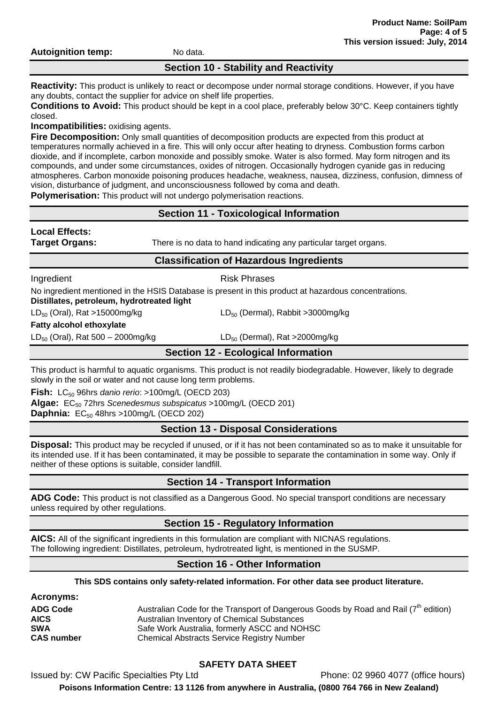**Autoignition temp:** No data.

### **Section 10 - Stability and Reactivity**

**Reactivity:** This product is unlikely to react or decompose under normal storage conditions. However, if you have any doubts, contact the supplier for advice on shelf life properties.

**Conditions to Avoid:** This product should be kept in a cool place, preferably below 30°C. Keep containers tightly closed.

**Incompatibilities:** oxidising agents.

**Fire Decomposition:** Only small quantities of decomposition products are expected from this product at temperatures normally achieved in a fire. This will only occur after heating to dryness. Combustion forms carbon dioxide, and if incomplete, carbon monoxide and possibly smoke. Water is also formed. May form nitrogen and its compounds, and under some circumstances, oxides of nitrogen. Occasionally hydrogen cyanide gas in reducing atmospheres. Carbon monoxide poisoning produces headache, weakness, nausea, dizziness, confusion, dimness of vision, disturbance of judgment, and unconsciousness followed by coma and death.

**Polymerisation:** This product will not undergo polymerisation reactions.

# **Section 11 - Toxicological Information**

| <b>Local Effects:</b><br><b>Target Organs:</b> | There is no data to hand indicating any particular target organs.                                    |  |
|------------------------------------------------|------------------------------------------------------------------------------------------------------|--|
| <b>Classification of Hazardous Ingredients</b> |                                                                                                      |  |
| Ingredient                                     | <b>Risk Phrases</b>                                                                                  |  |
| Distillates, petroleum, hydrotreated light     | No ingredient mentioned in the HSIS Database is present in this product at hazardous concentrations. |  |
| $LD_{50}$ (Oral), Rat >15000mg/kg              | $LD_{50}$ (Dermal), Rabbit > 3000 mg/kg                                                              |  |
| <b>Fatty alcohol ethoxylate</b>                |                                                                                                      |  |
| $LD_{50}$ (Oral), Rat 500 – 2000mg/kg          | $LD_{50}$ (Dermal), Rat >2000mg/kg                                                                   |  |
|                                                | <b>Section 12 - Ecological Information</b>                                                           |  |

This product is harmful to aquatic organisms. This product is not readily biodegradable. However, likely to degrade slowly in the soil or water and not cause long term problems.

**Fish:** LC<sub>50</sub> 96hrs *danio rerio*: >100mg/L (OECD 203) **Algae:** EC<sub>50</sub> 72hrs *Scenedesmus subspicatus* >100mg/L (OECD 201) **Daphnia:** EC<sub>50</sub> 48hrs >100mg/L (OECD 202)

# **Section 13 - Disposal Considerations**

**Disposal:** This product may be recycled if unused, or if it has not been contaminated so as to make it unsuitable for its intended use. If it has been contaminated, it may be possible to separate the contamination in some way. Only if neither of these options is suitable, consider landfill.

# **Section 14 - Transport Information**

**ADG Code:** This product is not classified as a Dangerous Good. No special transport conditions are necessary unless required by other regulations.

# **Section 15 - Regulatory Information**

**AICS:** All of the significant ingredients in this formulation are compliant with NICNAS regulations. The following ingredient: Distillates, petroleum, hydrotreated light, is mentioned in the SUSMP.

## **Section 16 - Other Information**

**This SDS contains only safety-related information. For other data see product literature.**

| <b>Acronyms:</b>  |                                                                                                 |
|-------------------|-------------------------------------------------------------------------------------------------|
| <b>ADG Code</b>   | Australian Code for the Transport of Dangerous Goods by Road and Rail (7 <sup>th</sup> edition) |
| <b>AICS</b>       | Australian Inventory of Chemical Substances                                                     |
| <b>SWA</b>        | Safe Work Australia, formerly ASCC and NOHSC                                                    |
| <b>CAS number</b> | <b>Chemical Abstracts Service Registry Number</b>                                               |

# **SAFETY DATA SHEET**

Issued by: CW Pacific Specialties Pty Ltd Phone: 02 9960 4077 (office hours)

**Poisons Information Centre: 13 1126 from anywhere in Australia, (0800 764 766 in New Zealand)**